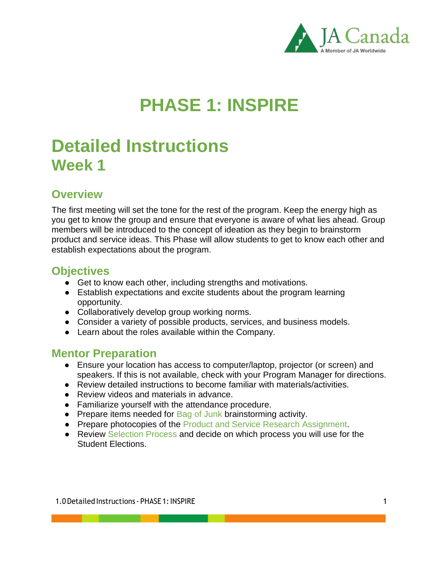

# **PHASE 1: INSPIRE**

# **Detailed Instructions Week 1**

# **Overview**

The first meeting will set the tone for the rest of the program. Keep the energy high as you get to know the group and ensure that everyone is aware of what lies ahead. Group members will be introduced to the concept of ideation as they begin to brainstorm product and service ideas. This Phase will allow students to get to know each other and establish expectations about the program.

### **Objectives**

- Get to know each other, including strengths and motivations.
- Establish expectations and excite students about the program learning opportunity.
- Collaboratively develop group working norms.
- Consider a variety of possible products, services, and business models.
- Learn about the roles available within the Company.

# **Mentor Preparation**

- Ensure your location has access to computer/laptop, projector (or screen) and speakers. If this is not available, check with your Program Manager for directions.
- Review detailed instructions to become familiar with materials/activities.
- Review videos and materials in advance.
- Familiarize yourself with the attendance procedure.
- Prepare items needed for Bag of Junk brainstorming activity.
- Prepare photocopies of the Product and Service Research Assignment.
- Review Selection Process and decide on which process you will use for the Student Elections.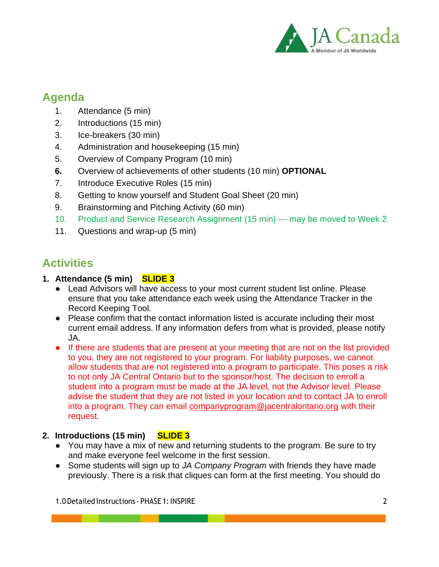

# **Agenda**

- 1. Attendance (5 min)
- 2. Introductions (15 min)
- 3. Ice-breakers (30 min)
- 4. Administration and housekeeping (15 min)
- 5. Overview of Company Program (10 min)
- **6.** Overview of achievements of other students (10 min) **OPTIONAL**
- 7. Introduce Executive Roles (15 min)
- 8. Getting to know yourself and Student Goal Sheet (20 min)
- 9. Brainstorming and Pitching Activity (60 min)
- 10. Product and Service Research Assignment (15 min) --- may be moved to Week 2
- 11. Questions and wrap-up (5 min)

# **Activities**

### **1. Attendance (5 min) SLIDE 3**

- Lead Advisors will have access to your most current student list online. Please ensure that you take attendance each week using the Attendance Tracker in the Record Keeping Tool.
- Please confirm that the contact information listed is accurate including their most current email address. If any information defers from what is provided, please notify JA.
- If there are students that are present at your meeting that are not on the list provided to you, they are not registered to your program. For liability purposes, we cannot allow students that are not registered into a program to participate. This poses a risk to not only JA Central Ontario but to the sponsor/host. The decision to enroll a student into a program must be made at the JA level, not the Advisor level. Please advise the student that they are not listed in your location and to contact JA to enroll into a program. They can email [companyprogram@jacentralontario.org](mailto:companyprogram@jacentralontario.org) with their request.

### **2. Introductions (15 min) SLIDE 3**

- You may have a mix of new and returning students to the program. Be sure to try and make everyone feel welcome in the first session.
- Some students will sign up to *JA Company Program* with friends they have made previously. There is a risk that cliques can form at the first meeting. You should do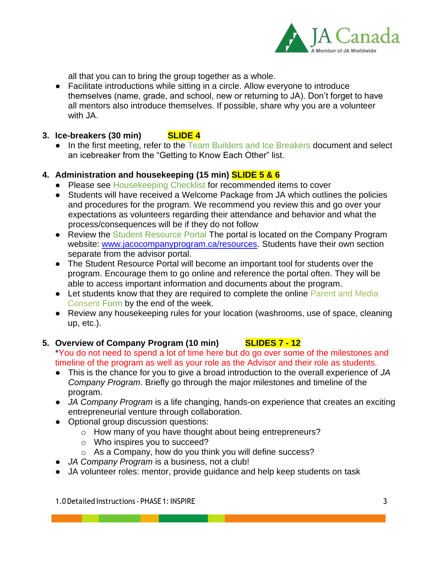

all that you can to bring the group together as a whole.

● Facilitate introductions while sitting in a circle. Allow everyone to introduce themselves (name, grade, and school, new or returning to JA). Don't forget to have all mentors also introduce themselves. If possible, share why you are a volunteer with JA.

### **3. Ice-breakers (30 min) SLIDE 4**

• In the first meeting, refer to the Team Builders and Ice Breakers document and select an icebreaker from the "Getting to Know Each Other" list.

### **4. Administration and housekeeping (15 min) SLIDE 5 & 6**

- Please see Housekeeping Checklist for recommended items to cover
- Students will have received a Welcome Package from JA which outlines the policies and procedures for the program. We recommend you review this and go over your expectations as volunteers regarding their attendance and behavior and what the process/consequences will be if they do not follow
- Review the Student Resource Portal The portal is located on the Company Program website: [www.jacocompanyprogram.ca/resources.](http://www.jacocompanyprogram.ca/resources) Students have their own section separate from the advisor portal.
- The Student Resource Portal will become an important tool for students over the program. Encourage them to go online and reference the portal often. They will be able to access important information and documents about the program.
- Let students know that they are required to complete the online Parent and Media Consent Form by the end of the week.
- Review any housekeeping rules for your location (washrooms, use of space, cleaning up, etc.).

#### **5. Overview of Company Program (10 min) SLIDES 7 - 12** \*You do not need to spend a lot of time here but do go over some of the milestones and

timeline of the program as well as your role as the Advisor and their role as students.

- This is the chance for you to give a broad introduction to the overall experience of *JA Company Program*. Briefly go through the major milestones and timeline of the program.
- *JA Company Program* is a life changing, hands-on experience that creates an exciting entrepreneurial venture through collaboration.
- Optional group discussion questions:
	- o How many of you have thought about being entrepreneurs?
	- o Who inspires you to succeed?
	- o As a Company, how do you think you will define success?
- **JA Company Program is a business, not a club!**
- JA volunteer roles: mentor, provide guidance and help keep students on task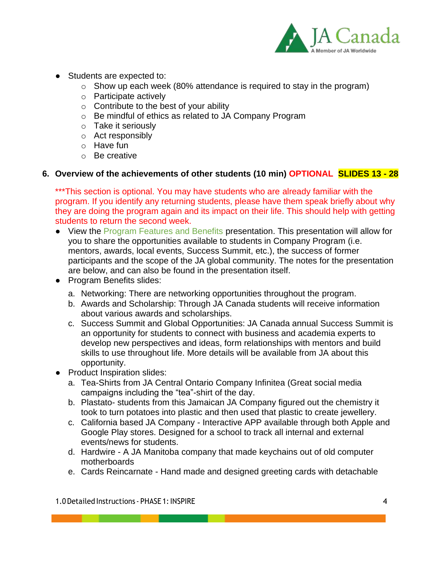

- Students are expected to:
	- $\circ$  Show up each week (80% attendance is required to stay in the program)
	- o Participate actively
	- $\circ$  Contribute to the best of your ability
	- o Be mindful of ethics as related to JA Company Program
	- o Take it seriously
	- o Act responsibly
	- o Have fun
	- o Be creative

### **6. Overview of the achievements of other students (10 min) OPTIONAL SLIDES 13 - 28**

\*\*\*This section is optional. You may have students who are already familiar with the program. If you identify any returning students, please have them speak briefly about why they are doing the program again and its impact on their life. This should help with getting students to return the second week.

- View the Program Features and Benefits presentation. This presentation will allow for you to share the opportunities available to students in Company Program (i.e. mentors, awards, local events, Success Summit, etc.), the success of former participants and the scope of the JA global community. The notes for the presentation are below, and can also be found in the presentation itself.
- Program Benefits slides:
	- a. Networking: There are networking opportunities throughout the program.
	- b. Awards and Scholarship: Through JA Canada students will receive information about various awards and scholarships.
	- c. Success Summit and Global Opportunities: JA Canada annual Success Summit is an opportunity for students to connect with business and academia experts to develop new perspectives and ideas, form relationships with mentors and build skills to use throughout life. More details will be available from JA about this opportunity.
- Product Inspiration slides:
	- a. Tea-Shirts from JA Central Ontario Company Infinitea (Great social media campaigns including the "tea"-shirt of the day.
	- b. Plastato- students from this Jamaican JA Company figured out the chemistry it took to turn potatoes into plastic and then used that plastic to create jewellery.
	- c. California based JA Company Interactive APP available through both Apple and Google Play stores. Designed for a school to track all internal and external events/news for students.
	- d. Hardwire A JA Manitoba company that made keychains out of old computer motherboards
	- e. Cards Reincarnate Hand made and designed greeting cards with detachable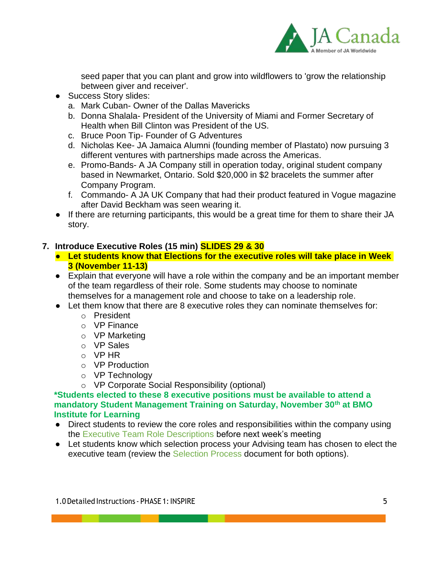

seed paper that you can plant and grow into wildflowers to 'grow the relationship between giver and receiver'.

- Success Story slides:
	- a. Mark Cuban- Owner of the Dallas Mavericks
	- b. Donna Shalala- President of the University of Miami and Former Secretary of Health when Bill Clinton was President of the US.
	- c. Bruce Poon Tip- Founder of G Adventures
	- d. Nicholas Kee- JA Jamaica Alumni (founding member of Plastato) now pursuing 3 different ventures with partnerships made across the Americas.
	- e. Promo-Bands- A JA Company still in operation today, original student company based in Newmarket, Ontario. Sold \$20,000 in \$2 bracelets the summer after Company Program.
	- f. Commando- A JA UK Company that had their product featured in Vogue magazine after David Beckham was seen wearing it.
- If there are returning participants, this would be a great time for them to share their JA story.

### **7. Introduce Executive Roles (15 min) SLIDES 29 & 30**

- **Let students know that Elections for the executive roles will take place in Week 3 (November 11-13)**
- Explain that everyone will have a role within the company and be an important member of the team regardless of their role. Some students may choose to nominate themselves for a management role and choose to take on a leadership role.
- Let them know that there are 8 executive roles they can nominate themselves for:
	- o President
	- o VP Finance
	- o VP Marketing
	- o VP Sales
	- o VP HR
	- o VP Production
	- o VP Technology
	- o VP Corporate Social Responsibility (optional)

**\*Students elected to these 8 executive positions must be available to attend a mandatory Student Management Training on Saturday, November 30th at BMO Institute for Learning**

- Direct students to review the core roles and responsibilities within the company using the Executive Team Role Descriptions before next week's meeting
- Let students know which selection process your Advising team has chosen to elect the executive team (review the Selection Process document for both options).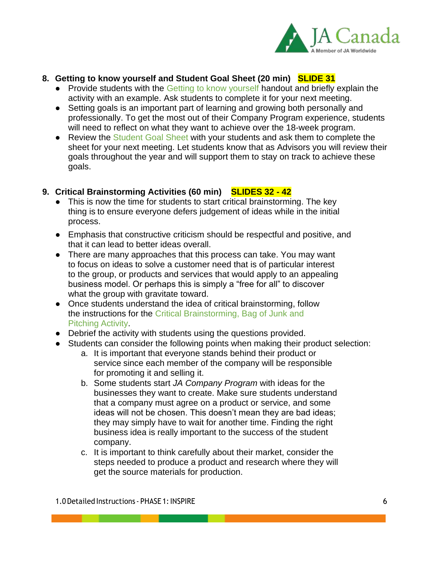

### **8. Getting to know yourself and Student Goal Sheet (20 min) SLIDE 31**

- Provide students with the Getting to know yourself handout and briefly explain the activity with an example. Ask students to complete it for your next meeting.
- Setting goals is an important part of learning and growing both personally and professionally. To get the most out of their Company Program experience, students will need to reflect on what they want to achieve over the 18-week program.
- Review the Student Goal Sheet with your students and ask them to complete the sheet for your next meeting. Let students know that as Advisors you will review their goals throughout the year and will support them to stay on track to achieve these goals.

### **9. Critical Brainstorming Activities (60 min) SLIDES 32 - 42**

- This is now the time for students to start critical brainstorming. The key thing is to ensure everyone defers judgement of ideas while in the initial process.
- Emphasis that constructive criticism should be respectful and positive, and that it can lead to better ideas overall.
- There are many approaches that this process can take. You may want to focus on ideas to solve a customer need that is of particular interest to the group, or products and services that would apply to an appealing business model. Or perhaps this is simply a "free for all" to discover what the group with gravitate toward.
- Once students understand the idea of critical brainstorming, follow the instructions for the Critical Brainstorming, Bag of Junk and Pitching Activity.
- Debrief the activity with students using the questions provided.
- Students can consider the following points when making their product selection:
	- a. It is important that everyone stands behind their product or service since each member of the company will be responsible for promoting it and selling it.
	- b. Some students start *JA Company Program* with ideas for the businesses they want to create. Make sure students understand that a company must agree on a product or service, and some ideas will not be chosen. This doesn't mean they are bad ideas; they may simply have to wait for another time. Finding the right business idea is really important to the success of the student company.
	- c. It is important to think carefully about their market, consider the steps needed to produce a product and research where they will get the source materials for production.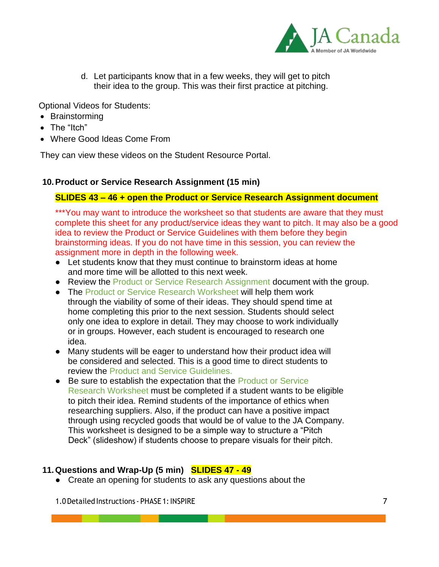

d. Let participants know that in a few weeks, they will get to pitch their idea to the group. This was their first practice at pitching.

Optional Videos for Students:

- Brainstorming
- The "Itch"
- Where Good Ideas Come From

They can view these videos on the Student Resource Portal.

### **10.Product or Service Research Assignment (15 min)**

### **SLIDES 43 – 46 + open the Product or Service Research Assignment document**

\*\*\*You may want to introduce the worksheet so that students are aware that they must complete this sheet for any product/service ideas they want to pitch. It may also be a good idea to review the Product or Service Guidelines with them before they begin brainstorming ideas. If you do not have time in this session, you can review the assignment more in depth in the following week.

- Let students know that they must continue to brainstorm ideas at home and more time will be allotted to this next week.
- Review the Product or Service Research Assignment document with the group.
- The Product or Service Research Worksheet will help them work through the viability of some of their ideas. They should spend time at home completing this prior to the next session. Students should select only one idea to explore in detail. They may choose to work individually or in groups. However, each student is encouraged to research one idea.
- Many students will be eager to understand how their product idea will be considered and selected. This is a good time to direct students to review the Product and Service Guidelines.
- Be sure to establish the expectation that the Product or Service Research Worksheet must be completed if a student wants to be eligible to pitch their idea. Remind students of the importance of ethics when researching suppliers. Also, if the product can have a positive impact through using recycled goods that would be of value to the JA Company. This worksheet is designed to be a simple way to structure a "Pitch Deck" (slideshow) if students choose to prepare visuals for their pitch.

### **11.Questions and Wrap-Up (5 min) SLIDES 47 - 49**

● Create an opening for students to ask any questions about the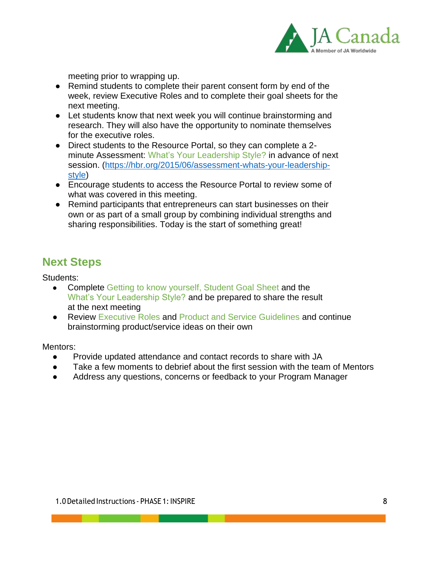

meeting prior to wrapping up.

- Remind students to complete their parent consent form by end of the week, review Executive Roles and to complete their goal sheets for the next meeting.
- Let students know that next week you will continue brainstorming and research. They will also have the opportunity to nominate themselves for the executive roles.
- Direct students to the Resource Portal, so they can complete a 2 minute Assessment: What's Your Leadership Style? in advance of next session. [\(https://hbr.org/2015/06/assessment-whats-your-leadership](https://hbr.org/2015/06/assessment-whats-your-leadership-style)[style\)](https://hbr.org/2015/06/assessment-whats-your-leadership-style)
- Encourage students to access the Resource Portal to review some of what was covered in this meeting.
- Remind participants that entrepreneurs can start businesses on their own or as part of a small group by combining individual strengths and sharing responsibilities. Today is the start of something great!

# **Next Steps**

Students:

- Complete Getting to know yourself, Student Goal Sheet and the What's Your Leadership Style? and be prepared to share the result at the next meeting
- Review Executive Roles and Product and Service Guidelines and continue brainstorming product/service ideas on their own

Mentors:

- Provide updated attendance and contact records to share with JA
- Take a few moments to debrief about the first session with the team of Mentors
- Address any questions, concerns or feedback to your Program Manager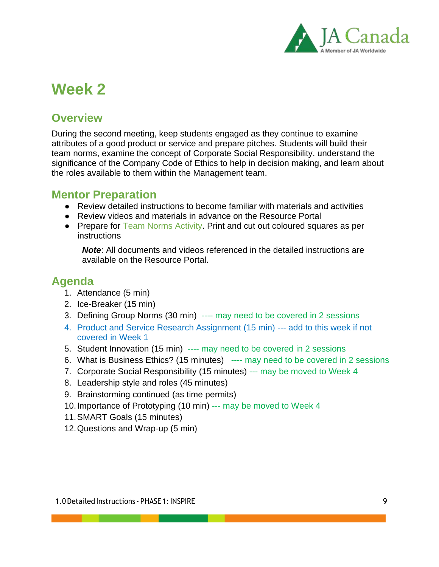

# **Week 2**

# **Overview**

During the second meeting, keep students engaged as they continue to examine attributes of a good product or service and prepare pitches. Students will build their team norms, examine the concept of Corporate Social Responsibility, understand the significance of the Company Code of Ethics to help in decision making, and learn about the roles available to them within the Management team.

### **Mentor Preparation**

- Review detailed instructions to become familiar with materials and activities
- Review videos and materials in advance on the Resource Portal
- Prepare for Team Norms Activity. Print and cut out coloured squares as per instructions

*Note*: All documents and videos referenced in the detailed instructions are available on the Resource Portal.

# **Agenda**

- 1. Attendance (5 min)
- 2. Ice-Breaker (15 min)
- 3. Defining Group Norms (30 min) ---- may need to be covered in 2 sessions
- 4. Product and Service Research Assignment (15 min) --- add to this week if not covered in Week 1
- 5. Student Innovation (15 min) ---- may need to be covered in 2 sessions
- 6. What is Business Ethics? (15 minutes) ---- may need to be covered in 2 sessions
- 7. Corporate Social Responsibility (15 minutes) --- may be moved to Week 4
- 8. Leadership style and roles (45 minutes)
- 9. Brainstorming continued (as time permits)
- 10.Importance of Prototyping (10 min) --- may be moved to Week 4
- 11.SMART Goals (15 minutes)
- 12.Questions and Wrap-up (5 min)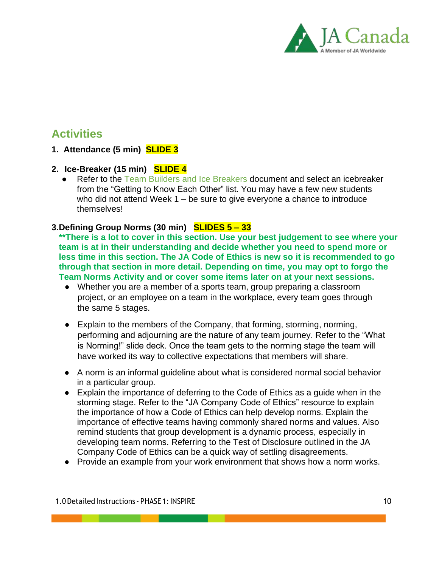

# **Activities**

### **1. Attendance (5 min) SLIDE 3**

### **2. Ice-Breaker (15 min) SLIDE 4**

● Refer to the Team Builders and Ice Breakers document and select an icebreaker from the "Getting to Know Each Other" list. You may have a few new students who did not attend Week 1 – be sure to give everyone a chance to introduce themselves!

### **3.Defining Group Norms (30 min) SLIDES 5 – 33**

**\*\*There is a lot to cover in this section. Use your best judgement to see where your team is at in their understanding and decide whether you need to spend more or less time in this section. The JA Code of Ethics is new so it is recommended to go through that section in more detail. Depending on time, you may opt to forgo the Team Norms Activity and or cover some items later on at your next sessions.**

- Whether you are a member of a sports team, group preparing a classroom project, or an employee on a team in the workplace, every team goes through the same 5 stages.
- Explain to the members of the Company, that forming, storming, norming, performing and adjourning are the nature of any team journey. Refer to the "What is Norming!" slide deck. Once the team gets to the norming stage the team will have worked its way to collective expectations that members will share.
- A norm is an informal guideline about what is considered normal social behavior in a particular group.
- Explain the importance of deferring to the Code of Ethics as a guide when in the storming stage. Refer to the "JA Company Code of Ethics" resource to explain the importance of how a Code of Ethics can help develop norms. Explain the importance of effective teams having commonly shared norms and values. Also remind students that group development is a dynamic process, especially in developing team norms. Referring to the Test of Disclosure outlined in the JA Company Code of Ethics can be a quick way of settling disagreements.
- Provide an example from your work environment that shows how a norm works.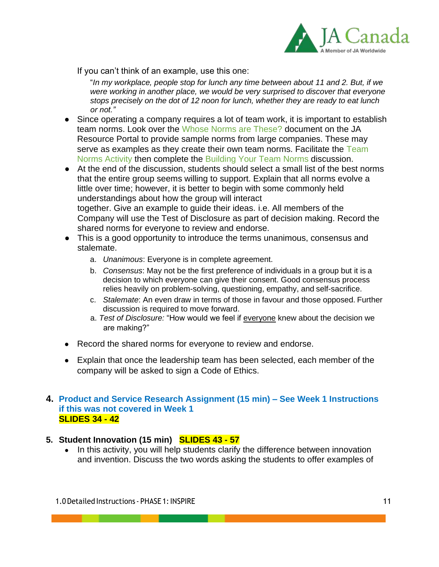

If you can't think of an example, use this one:

"*In my workplace, people stop for lunch any time between about 11 and 2. But, if we were working in another place, we would be very surprised to discover that everyone stops precisely on the dot of 12 noon for lunch, whether they are ready to eat lunch or not."*

- Since operating a company requires a lot of team work, it is important to establish team norms. Look over the Whose Norms are These? document on the JA Resource Portal to provide sample norms from large companies. These may serve as examples as they create their own team norms. Facilitate the Team Norms Activity then complete the Building Your Team Norms discussion.
- At the end of the discussion, students should select a small list of the best norms that the entire group seems willing to support. Explain that all norms evolve a little over time; however, it is better to begin with some commonly held understandings about how the group will interact together. Give an example to guide their ideas. i.e. All members of the Company will use the Test of Disclosure as part of decision making. Record the shared norms for everyone to review and endorse.
- This is a good opportunity to introduce the terms unanimous, consensus and stalemate.
	- a. *Unanimous*: Everyone is in complete agreement.
	- b. *Consensus*: May not be the first preference of individuals in a group but it is a decision to which everyone can give their consent. Good consensus process relies heavily on problem-solving, questioning, empathy, and self-sacrifice.
	- c. *Stalemate*: An even draw in terms of those in favour and those opposed. Further discussion is required to move forward.
	- a. *Test of Disclosure:* "How would we feel if everyone knew about the decision we are making?"
- Record the shared norms for everyone to review and endorse.
- Explain that once the leadership team has been selected, each member of the company will be asked to sign a Code of Ethics.

### **4. Product and Service Research Assignment (15 min) – See Week 1 Instructions if this was not covered in Week 1 SLIDES 34 - 42**

### **5. Student Innovation (15 min) SLIDES 43 - 57**

• In this activity, you will help students clarify the difference between innovation and invention. Discuss the two words asking the students to offer examples of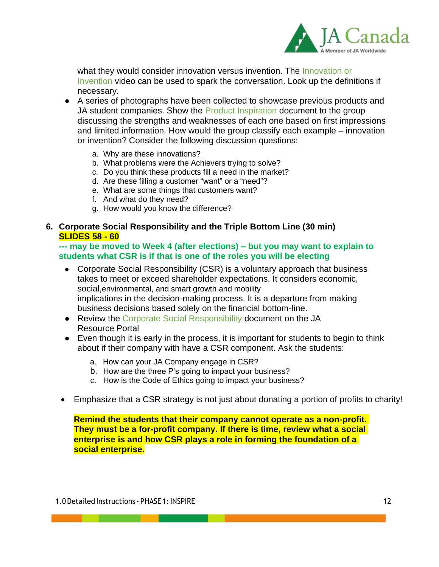

what they would consider innovation versus invention. The Innovation or Invention video can be used to spark the conversation. Look up the definitions if necessary.

- A series of photographs have been collected to showcase previous products and JA student companies. Show the Product Inspiration document to the group discussing the strengths and weaknesses of each one based on first impressions and limited information. How would the group classify each example – innovation or invention? Consider the following discussion questions:
	- a. Why are these innovations?
	- b. What problems were the Achievers trying to solve?
	- c. Do you think these products fill a need in the market?
	- d. Are these filling a customer "want" or a "need"?
	- e. What are some things that customers want?
	- f. And what do they need?
	- g. How would you know the difference?

### **6. Corporate Social Responsibility and the Triple Bottom Line (30 min) SLIDES 58 - 60**

### **--- may be moved to Week 4 (after elections) – but you may want to explain to students what CSR is if that is one of the roles you will be electing**

- Corporate Social Responsibility (CSR) is a voluntary approach that business takes to meet or exceed shareholder expectations. It considers economic, social,environmental, and smart growth and mobility implications in the decision-making process. It is a departure from making business decisions based solely on the financial bottom-line.
- Review the Corporate Social Responsibility document on the JA Resource Portal
- Even though it is early in the process, it is important for students to begin to think about if their company with have a CSR component. Ask the students:
	- a. How can your JA Company engage in CSR?
	- b. How are the three P's going to impact your business?
	- c. How is the Code of Ethics going to impact your business?
- Emphasize that a CSR strategy is not just about donating a portion of profits to charity!

**Remind the students that their company cannot operate as a non-profit. They must be a for-profit company. If there is time, review what a social enterprise is and how CSR plays a role in forming the foundation of a social enterprise.**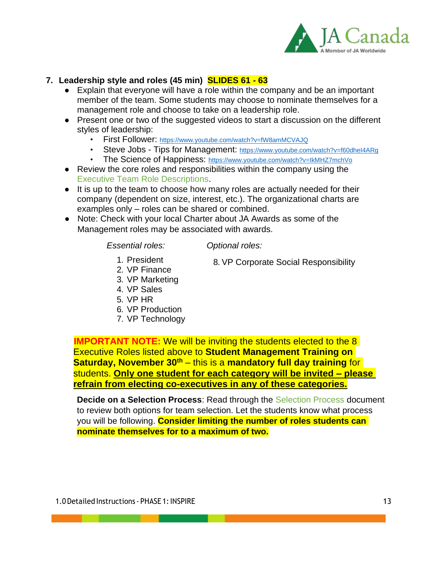

### **7. Leadership style and roles (45 min) SLIDES 61 - 63**

- Explain that everyone will have a role within the company and be an important member of the team. Some students may choose to nominate themselves for a management role and choose to take on a leadership role.
- Present one or two of the suggested videos to start a discussion on the different styles of leadership:
	- First Follower: <https://www.youtube.com/watch?v=fW8amMCVAJQ>
	- Steve Jobs Tips for Management: <https://www.youtube.com/watch?v=f60dheI4ARg>
	- The Science of Happiness: <https://www.youtube.com/watch?v=IkMHZ7mchVo>
- Review the core roles and responsibilities within the company using the Executive Team Role Descriptions.
- It is up to the team to choose how many roles are actually needed for their company (dependent on size, interest, etc.). The organizational charts are examples only – roles can be shared or combined.
- Note: Check with your local Charter about JA Awards as some of the Management roles may be associated with awards.

#### *Essential roles:*

*Optional roles:*

- 1. President
- 8. VP Corporate Social Responsibility
- 2. VP Finance
- 3. VP Marketing 4. VP Sales
- 
- 5. VP HR
- 6. VP Production
- 7. VP Technology

**IMPORTANT NOTE:** We will be inviting the students elected to the 8 Executive Roles listed above to **Student Management Training on Saturday, November 30th** – this is a **mandatory full day training** for students. **Only one student for each category will be invited – please refrain from electing co-executives in any of these categories.**

**Decide on a Selection Process**: Read through the Selection Process document to review both options for team selection. Let the students know what process you will be following. **Consider limiting the number of roles students can nominate themselves for to a maximum of two.**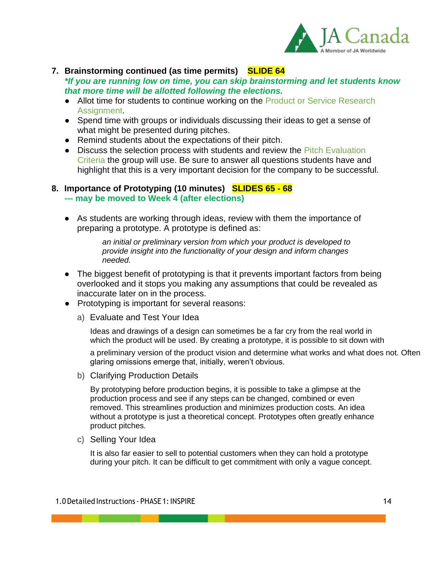

### **7. Brainstorming continued (as time permits) SLIDE 64**

*\*If you are running low on time, you can skip brainstorming and let students know that more time will be allotted following the elections.* 

- Allot time for students to continue working on the Product or Service Research Assignment.
- Spend time with groups or individuals discussing their ideas to get a sense of what might be presented during pitches.
- Remind students about the expectations of their pitch.
- Discuss the selection process with students and review the Pitch Evaluation Criteria the group will use. Be sure to answer all questions students have and highlight that this is a very important decision for the company to be successful.

### **8. Importance of Prototyping (10 minutes) SLIDES 65 - 68**

- **--- may be moved to Week 4 (after elections)**
- As students are working through ideas, review with them the importance of preparing a prototype. A prototype is defined as:

*an initial or preliminary version from which your product is developed to provide insight into the functionality of your design and inform changes needed.*

- The biggest benefit of prototyping is that it prevents important factors from being overlooked and it stops you making any assumptions that could be revealed as inaccurate later on in the process.
- Prototyping is important for several reasons:
	- a) Evaluate and Test Your Idea

Ideas and drawings of a design can sometimes be a far cry from the real world in which the product will be used. By creating a prototype, it is possible to sit down with

a preliminary version of the product vision and determine what works and what does not. Often glaring omissions emerge that, initially, weren't obvious.

b) Clarifying Production Details

By prototyping before production begins, it is possible to take a glimpse at the production process and see if any steps can be changed, combined or even removed. This streamlines production and minimizes production costs. An idea without a prototype is just a theoretical concept. Prototypes often greatly enhance product pitches.

c) Selling Your Idea

It is also far easier to sell to potential customers when they can hold a prototype during your pitch. It can be difficult to get commitment with only a vague concept.